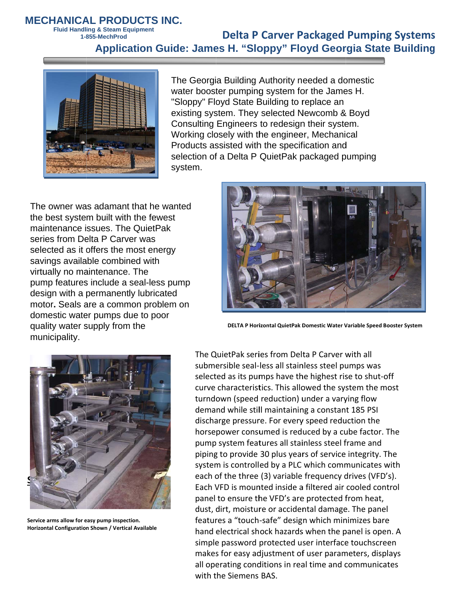## **MECHANICAL PRODUCTS INC.**

**Fluid Handling & Steam Equipment** 1-855-MechProd

## **Delta P Carver Packaged Pumping Systems Application Guide: James H. "Sloppy" Floyd Georgia State Building**



The Georgia Building Authority needed a domestic water booster pumping system for the James H. "Sloppy" Floyd State Building to replace an existing system. They selected Newcomb & Boyd Consulting Engineers to redesign their system. Working closely with the engineer, Mechanical Products assisted with the specification and selection of a Delta P QuietPak packaged pumping system.

The owner was adamant that he wanted the best system built with the fewest maintenance issues. The QuietPak series from Delta P Carver was selected as it offers the most energy savings available combined with virtually no maintenance. The pump features include a seal-less pump design with a permanently lubricated motor. Seals are a common problem on domestic water pumps due to poor quality water supply from the municipality.



DELTA P Horizontal QuietPak Domestic Water Variable Speed Booster System



Service arms allow for easy pump inspection. Horizontal Configuration Shown / Vertical Available

The QuietPak series from Delta P Carver with all submersible seal-less all stainless steel pumps was selected as its pumps have the highest rise to shut-off curve characteristics. This allowed the system the most turndown (speed reduction) under a varying flow demand while still maintaining a constant 185 PSI discharge pressure. For every speed reduction the horsepower consumed is reduced by a cube factor. The pump system features all stainless steel frame and piping to provide 30 plus years of service integrity. The system is controlled by a PLC which communicates with each of the three (3) variable frequency drives (VFD's). Each VFD is mounted inside a filtered air cooled control panel to ensure the VFD's are protected from heat, dust, dirt, moisture or accidental damage. The panel features a "touch-safe" design which minimizes bare hand electrical shock hazards when the panel is open. A simple password protected user interface touchscreen makes for easy adjustment of user parameters, displays all operating conditions in real time and communicates with the Siemens BAS.